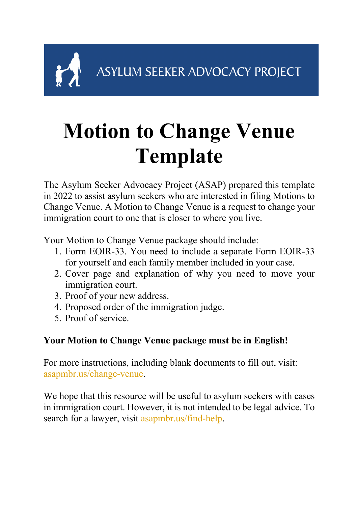ASYLUM SEEKER ADVOCACY PROJECT

## **Motion to Change Venue Template**

The Asylum Seeker Advocacy Project (ASAP) prepared this template in 2022 to assist asylum seekers who are interested in filing Motions to Change Venue. A Motion to Change Venue is a request to change your immigration court to one that is closer to where you live.

Your Motion to Change Venue package should include:

- 1. Form EOIR-33. You need to include a separate Form EOIR-33 for yourself and each family member included in your case.
- 2. Cover page and explanation of why you need to move your immigration court.
- 3. Proof of your new address.
- 4. Proposed order of the immigration judge.
- 5. Proof of service.

### **Your Motion to Change Venue package must be in English!**

For more instructions, including blank documents to fill out, visit: asapmbr.us/change-venue.

We hope that this resource will be useful to asylum seekers with cases in immigration court. However, it is not intended to be legal advice. To search for a lawyer, visit asapmbr.us/find-help.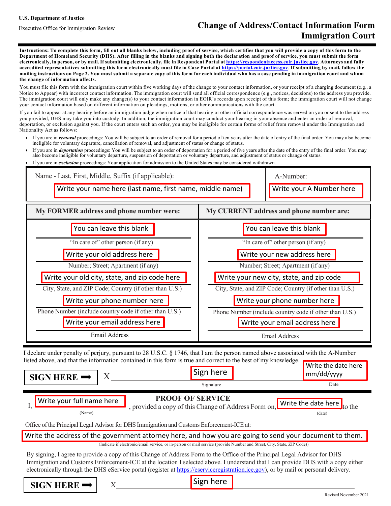#### **U.S. Department of Justice**

### Executive Office for Immigration Review **Change of Address/Contact Information Form Immigration Court**

**Instructions: To complete this form, fill out all blanks below, including proof of service, which certifies that you will provide a copy of this form to the Department of Homeland Security (DHS). After filling in the blanks and signing both the declaration and proof of service, you must submit the form** electronically, in person, or by mail. If submitting electronically, file in Respondent Portal at https://respondentaccess.eoir.justice.gov. Attorneys and fully **accredited representatives submitting this form electronically must file in Case Portal at https://portal.eoir.justice.gov**. **If submitting by mail, follow the** mailing instructions on Page 2. You must submit a separate copy of this form for each individual who has a case pending in immigration court and whom **the change of information affects.**

You must file this form with the immigration court within five working days of the change to your contact information, or your receipt of a charging document (e.g., a Notice to Appear) with incorrect contact information. The immigration court will send all official correspondence (e.g., notices, decisions) to the address you provide. The immigration court will only make any change(s) to your contact information in EOIR's records upon receipt of this form; the immigration court will not change your contact information based on different information on pleadings, motions, or other communications with the court.

If you fail to appear at any hearing before an immigration judge when notice of that hearing or other official correspondence was served on you or sent to the address you provided, DHS may take you into custody. In addition, the immigration court may conduct your hearing in your absence and enter an order of removal, deportation, or exclusion against you. If the court enters such an order, you may be ineligible for certain forms of relief from removal under the Immigration and Nationality Act as follows:

- If you are in *removal* proceedings: You will be subject to an order of removal for a period of ten years after the date of entry of the final order. You may also become ineligible for voluntary departure, cancellation of removal, and adjustment of status or change of status.
- If you are in *deportation* proceedings: You will be subject to an order of deportation for a period of five years after the date of the entry of the final order. You may also become ineligible for voluntary departure, suspension of deportation or voluntary departure, and adjustment of status or change of status.
- If you are in *exclusion* proceedings: Your application for admission to the United States may be considered withdrawn.



I declare under penalty of perjury, pursuant to 28 U.S.C. § 1746, that I am the person named above associated with the A-Number listed above, and that the information contained in this form is true and correct to the best of my knowledge. **Write the date here** 

| SIGN HERE $\rightarrow$                                                                                                                                      | Sign here |  | mm/dd/yyyy |  |
|--------------------------------------------------------------------------------------------------------------------------------------------------------------|-----------|--|------------|--|
|                                                                                                                                                              | Signature |  | Date       |  |
| <b>PROOF OF SERVICE</b><br>Write your full name here<br>-, provided a copy of this Change of Address Form on, Write the date here to the<br>(Name)<br>(date) |           |  |            |  |
| Office of the Principal Legal Advisor for DHS Immigration and Customs Enforcement-ICE at:                                                                    |           |  |            |  |
| Write the address of the government attorney here, and how you are going to send your document to them.                                                      |           |  |            |  |
| (Indicate if electronic/email service, or in-person or mail service (provide Number and Street, City, State, ZIP Code))                                      |           |  |            |  |

By signing, I agree to provide a copy of this Change of Address Form to the Office of the Principal Legal Advisor for DHS Immigration and Customs Enforcement-ICE at the location I selected above. I understand that I can provide DHS with a copy either electronically through the DHS eService portal (register at https://eserviceregistration.ice.gov), or by mail or personal delivery.

 $\text{SIGN}$  **HERE**  $\rightarrow$  | x

|  | Sign here |  |
|--|-----------|--|
|--|-----------|--|

Revised November 2021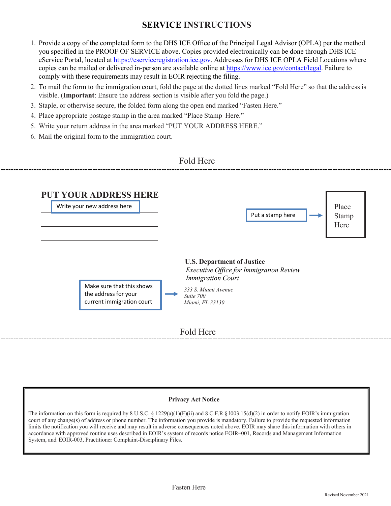### **SERVICE INSTRUCTIONS**

- 1. Provide a copy of the completed form to the DHS ICE Office of the Principal Legal Advisor (OPLA) per the method you specified in the PROOF OF SERVICE above. Copies provided electronically can be done through DHS ICE eService Portal, located at https://eserviceregistration.ice.gov. Addresses for DHS ICE OPLA Field Locations where copies can be mailed or delivered in-person are available online at https://www.ice.gov/contact/legal. Failure to comply with these requirements may result in EOIR rejecting the filing.
- 2. To mail the form to the immigration court, fold the page at the dotted lines marked "Fold Here" so that the address is visible. (**Important**: Ensure the address section is visible after you fold the page.)
- 3. Staple, or otherwise secure, the folded form along the open end marked "Fasten Here."
- 4. Place appropriate postage stamp in the area marked "Place Stamp Here."
- 5. Write your return address in the area marked "PUT YOUR ADDRESS HERE."
- 6. Mail the original form to the immigration court.



### **Privacy Act Notice**

The information on this form is required by 8 U.S.C. § 1229(a)(1)(F)(ii) and 8 C.F.R § 1003.15(d)(2) in order to notify EOIR's immigration court of any change(s) of address or phone number. The information you provide is mandatory. Failure to provide the requested information limits the notification you will receive and may result in adverse consequences noted above. EOIR may share this information with others in accordance with approved routine uses described in EOIR's system of records notice EOIR–001, Records and Management Information System, and EOIR-003, Practitioner Complaint-Disciplinary Files.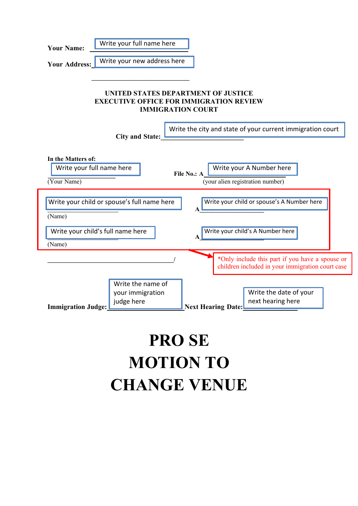| Write your full name here<br><b>Your Name:</b>                                                                                                               |  |  |  |  |  |
|--------------------------------------------------------------------------------------------------------------------------------------------------------------|--|--|--|--|--|
| Write your new address here<br><b>Your Address:</b>                                                                                                          |  |  |  |  |  |
| UNITED STATES DEPARTMENT OF JUSTICE<br><b>EXECUTIVE OFFICE FOR IMMIGRATION REVIEW</b><br><b>IMMIGRATION COURT</b>                                            |  |  |  |  |  |
| Write the city and state of your current immigration court<br><b>City and State:</b>                                                                         |  |  |  |  |  |
| In the Matters of:<br>Write your A Number here<br>Write your full name here<br>File No.: A<br>(your alien registration number)<br>(Your Name)                |  |  |  |  |  |
| Write your child or spouse's A Number here<br>Write your child or spouse's full name here<br>(Name)                                                          |  |  |  |  |  |
| Write your child's full name here<br>Write your child's A Number here<br>(Name)                                                                              |  |  |  |  |  |
| *Only include this part if you have a spouse or<br>children included in your immigration court case                                                          |  |  |  |  |  |
| Write the name of<br>Write the date of your<br>your immigration<br>next hearing here<br>judge here<br><b>Immigration Judge:</b><br><b>Next Hearing Date:</b> |  |  |  |  |  |

## **PRO SE MOTION TO CHANGE VENUE**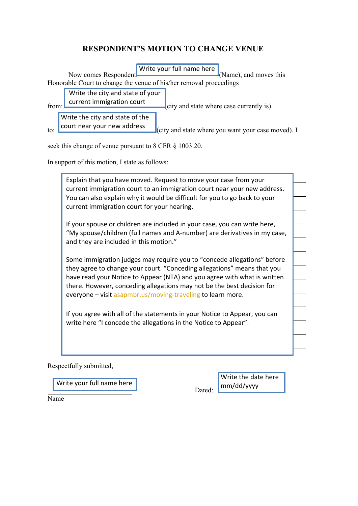### **RESPONDENT'S MOTION TO CHANGE VENUE**



seek this change of venue pursuant to 8 CFR  $\S$  1003.20.

In support of this motion, I state as follows:

Explain that you have moved. Request to move your case from your current immigration court to an immigration court near your new address. You can also explain why it would be difficult for you to go back to your current immigration court for your hearing.

If your spouse or children are included in your case, you can write here, "My spouse/children (full names and A-number) are derivatives in my case, and they are included in this motion."

Some immigration judges may require you to "concede allegations" before they agree to change your court. "Conceding allegations" means that you have read your Notice to Appear (NTA) and you agree with what is written there. However, conceding allegations may not be the best decision for everyone – visit asapmbr.us/moving-traveling to learn more.

If you agree with all of the statements in your Notice to Appear, you can write here "I concede the allegations in the Notice to Appear".

Respectfully submitted,

Write your full name here

Dated: Write the date here mm/dd/yyyy

Name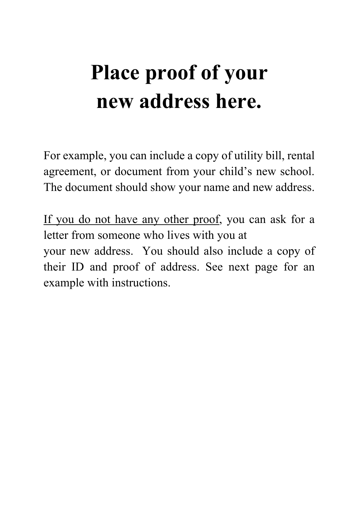## **Place proof of your new address here.**

For example, you can include a copy of utility bill, rental agreement, or document from your child's new school. The document should show your name and new address.

If you do not have any other proof, you can ask for a letter from someone who lives with you at your new address. You should also include a copy of their ID and proof of address. See next page for an example with instructions.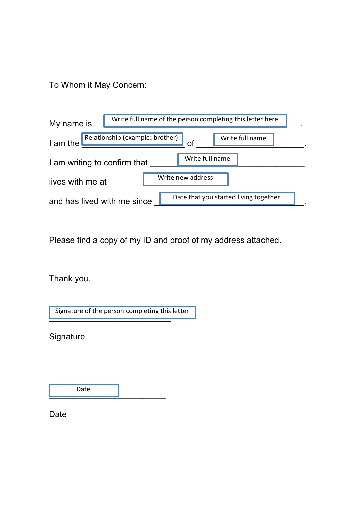To Whom it May Concern:

| Write full name of the person completing this letter here<br>My name is |                                       |  |  |  |
|-------------------------------------------------------------------------|---------------------------------------|--|--|--|
| Relationship (example: brother)<br>Write full name<br>I am the          |                                       |  |  |  |
| Write full name<br>I am writing to confirm that                         |                                       |  |  |  |
| lives with me at                                                        | Write new address                     |  |  |  |
| and has lived with me since                                             | Date that you started living together |  |  |  |

Please find a copy of my ID and proof of my address attached.

Thank you.

\_\_\_\_\_\_\_\_\_\_\_\_\_\_\_\_\_\_\_\_\_\_\_\_\_\_ Signature of the person completing this letter

**Signature** 

Date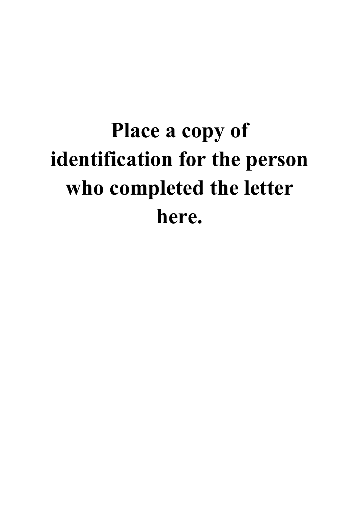# **Place a copy of identification for the person who completed the letter here.**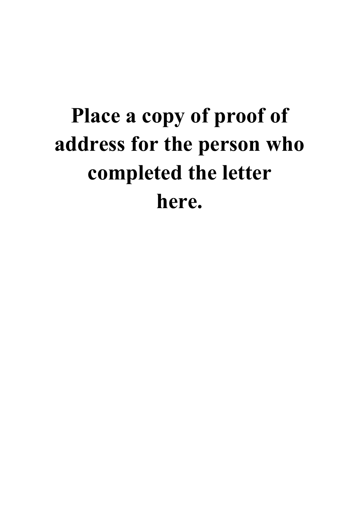# **Place a copy of proof of address for the person who completed the letter here.**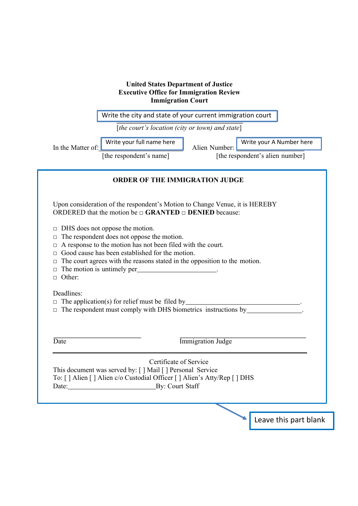|                                                                                                                                                                                                                                                                                                                                                                                                                                                                                                                                                                                                                                                                                                                                                              |                                                 | Write the city and state of your current immigration court |                                 |
|--------------------------------------------------------------------------------------------------------------------------------------------------------------------------------------------------------------------------------------------------------------------------------------------------------------------------------------------------------------------------------------------------------------------------------------------------------------------------------------------------------------------------------------------------------------------------------------------------------------------------------------------------------------------------------------------------------------------------------------------------------------|-------------------------------------------------|------------------------------------------------------------|---------------------------------|
|                                                                                                                                                                                                                                                                                                                                                                                                                                                                                                                                                                                                                                                                                                                                                              | [the court's location (city or town) and state] |                                                            |                                 |
| In the Matter of:                                                                                                                                                                                                                                                                                                                                                                                                                                                                                                                                                                                                                                                                                                                                            | Write your full name here                       | Alien Number:                                              | Write your A Number here        |
|                                                                                                                                                                                                                                                                                                                                                                                                                                                                                                                                                                                                                                                                                                                                                              | [the respondent's name]                         |                                                            | [the respondent's alien number] |
| <b>ORDER OF THE IMMIGRATION JUDGE</b>                                                                                                                                                                                                                                                                                                                                                                                                                                                                                                                                                                                                                                                                                                                        |                                                 |                                                            |                                 |
| Upon consideration of the respondent's Motion to Change Venue, it is HEREBY<br>ORDERED that the motion be $\Box$ <b>GRANTED</b> $\Box$ <b>DENIED</b> because:<br>$\Box$ DHS does not oppose the motion.<br>The respondent does not oppose the motion.<br>□<br>$\Box$ A response to the motion has not been filed with the court.<br>Good cause has been established for the motion.<br>$\Box$ The court agrees with the reasons stated in the opposition to the motion.<br>The motion is untimely per_<br><u> 1989 - John Harry Barn, amerikansk politiker</u><br>$\Box$<br>Other:<br>$\Box$<br>Deadlines:<br>The application(s) for relief must be filed by $\sqrt{\frac{1}{1-\epsilon}}$<br>The respondent must comply with DHS biometrics instructions by |                                                 |                                                            |                                 |
| Date                                                                                                                                                                                                                                                                                                                                                                                                                                                                                                                                                                                                                                                                                                                                                         |                                                 | <b>Immigration Judge</b>                                   |                                 |